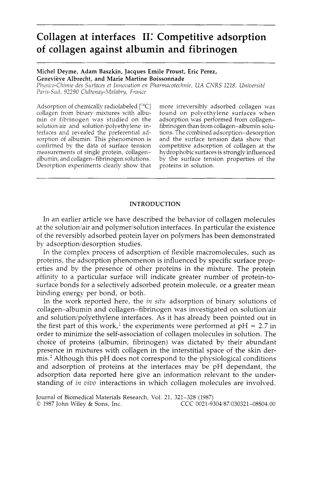# **Collagen at interfaces 11: Competitive adsorption of collagen against albumin and fibrinogen**

## Michel Deyme, Adam Baszkin, Jacques Emile Proust, Eric Perez, Geneviève Albrecht, and Marie Martine Boissonnade

*Physico-Chimie des Surfaces et Innovation en Pharmacotechnie, UA CNRS 1218, Université PawSu.?,* 92290 *Chiitenay-.?/lalnbvy, Fvntzce* 

Adsorption of chemically radiolabeled  $[^{14}C]$ collagen from binary mixtures with albumin or fibrinogen was studied on the solution/air and solution/polyethylene interfaces and revealed the preferential adsorption of albumin. This phenomenon is confirmed by the data of surface tension measurements of single protein, collagenalbumin, and collagen-fibrinogen solutions. Desorption experiments clearly show that more irreversibly adsorbed collagen was found on polyethylene surfaces when adsorption was performed from collagenfibrinogen than from collagen-albumin solutions. The combined adsorption-desorption and the surface tension data show that competitive adsorption of collagen at the hydrophobic surfaces is strongly influenced by the surface tension properties of the proteins in solution.

### INTRODUCTION

In an earlier article we have described the behavior of collagen molecules at the solution/air and polymer/solution interfaces. In particular the existence of the reversibly adsorbed protein layer on polymers has been demonstrated by adsorption/desorption studies.

In the complex process of adsorption of flexible macromolecules, such as proteins, the adsorption phenomenon is influenced by specific surface properties and by the presence of other proteins in the mixture. The protein affinity to a particular surface will indicate greater number of protein-tosurface bonds for a selectively adsorbed protein molecule, or a greater mean binding energy per bond, or both.

In the work reported here, the in *situ* adsorption of binary solutions of collagen-albumin and collagen-fibrinogen was investigated on solution/air and solution/polyethylene interfaces. As it has already been pointed out in the first part of this work,<sup>1</sup> the experiments were performed at  $pH = 2.7$  in order to minimize the self-association of collagen molecules in solution. The choice of proteins (albumin, fibrinogen) was dictated by their abundant presence in mixtures with collagen in the interstitial space of the skin dermis.<sup>2</sup> Although this pH does not correspond to the physiological conditions and adsorption of proteins at the interfaces may be pH dependant, the adsorption data reported here give an information relevant to the understanding of in *vivo* interactions in which collagen molecules are involved.

Journal of Biomedical Materials Research, Vol. **21, 321-328** (1987) *0* 1987 John Wiley & Sons, Inc. CCC 0021-9304/8?/030321-08\$04.00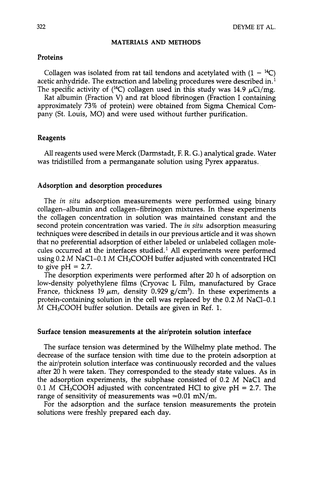#### **MATERIALS AND METHODS**

## Proteins

Collagen was isolated from rat tail tendons and acetylated with  $(1 - {}^{14}C)$ acetic anhydride. The extraction and labeling procedures were described in.<sup>1</sup> The specific activity of  $(^{14}C)$  collagen used in this study was 14.9  $\mu$ Ci/mg.

Rat albumin (Fraction V) and rat blood fibrinogen (Fraction I containing approximately 73% of protein) were obtained from Sigma Chemical Company (St. Louis, MO) and were used without further purification.

## Reagents

All reagents used were Merck (Darmstadt, F. R. G.) analytical grade. Water was tridistilled from a permanganate solution using Pyrex apparatus.

## Adsorption and desorption procedures

The *in situ* adsorption measurements were performed using binary collagen-albumin and collagen-fibrinogen mixtures. In these experiments the collagen concentration in solution was maintained constant and the second protein concentration was varied. The *in situ* adsorption measuring techniques were described in details in our previous article and it was shown that no preferential adsorption of either labeled or unlabeled collagen molecules occurred at the interfaces studied.<sup>1</sup> All experiments were performed using 0.2 M NaC1-0.1 M CH<sub>3</sub>COOH buffer adjusted with concentrated HCl to give  $pH = 2.7$ .

The desorption experiments were performed after 20 h of adsorption on low-density polyethylene films (Cryovac L Film, manufactured by Grace France, thickness 19  $\mu$ m, density 0.929 g/cm<sup>3</sup>). In these experiments a protein-containing solution in the cell was replaced by the 0.2 M NaCI-0.1 M CH<sub>3</sub>COOH buffer solution. Details are given in Ref. 1.

## Surface tension measurements at the air/protein solution interface

The surface tension was determined by the Wilhelmy plate method. The decrease of the surface tension with time due to the protein adsorption at the air/protein solution interface was continuously recorded and the values after 20 h were taken. They corresponded to the steady state values. As in the adsorption experiments, the subphase consisted of 0.2 *M* NaCl and 0.1 M CH<sub>3</sub>COOH adjusted with concentrated HCl to give  $pH = 2.7$ . The range of sensitivity of measurements was  $\approx 0.01$  mN/m.

For the adsorption and the surface tension measurements the protein solutions were freshly prepared each day.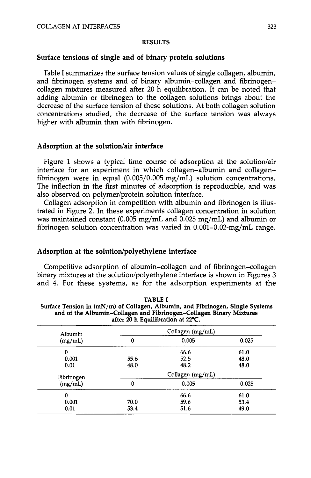#### **RESULTS**

# **Surface tensions of single and of binary protein solutions**

Table I summarizes the surface tension values of single collagen, albumin, and fibrinogen systems and of binary albumin-collagen and fibrinogencollagen mixtures measured after 20 h equilibration. It can be noted that adding albumin or fibrinogen to the collagen solutions brings about the decrease of the surface tension of these solutions. At both collagen solution concentrations studied, the decrease of the surface tension was always higher with albumin than with fibrinogen.

#### Adsorption at the solution/air interface

Figure 1 shows a typical time course of adsorption at the solution/air interface for an experiment in which collagen-albumin and collagenfibrinogen were in equal (0.005/0.005 mg/mL) solution concentrations. The inflection in the first minutes of adsorption is reproducible, and was also observed on polymer/protein solution interface.

Collagen adsorption in competition with albumin and fibrinogen is illustrated in Figure **2.** In these experiments collagen concentration in solution was maintained constant (0.005 mg/mL and 0.025 mg/mL) and albumin or fibrinogen solution concentration was varied in 0.001-0.02-mg/mL range.

# Adsorption at the solution/polyethylene interface

Competitive adsorption of albumin-collagen and of fibrinogen-collagen binary mixtures at the solution/polyethylene interface is shown in Figures 3 and **4.** For these systems, as for the adsorption experiments at the

| Albumin<br>(mg/mL) | Collagen $(mg/mL)$ |       |       |
|--------------------|--------------------|-------|-------|
|                    | 0                  | 0.005 | 0.025 |
| 0                  |                    | 66.6  | 61.0  |
| 0.001              | 55.6               | 52.5  | 48.0  |
| 0.01               | 48.0               | 48.2  | 48.0  |
| Fibrinogen         | Collagen $(mg/mL)$ |       |       |
| (mg/mL)            | 0                  | 0.005 | 0.025 |
| 0                  |                    | 66.6  | 61.0  |
| 0.001              | 70.0               | 59.6  | 53.4  |
| 0.01               | 53.4               | 51.6  | 49.0  |

| <b>TABLE I</b>                                                                   |
|----------------------------------------------------------------------------------|
| Surface Tension in $(mN/m)$ of Collagen, Albumin, and Fibrinogen, Single Systems |
| and of the Albumin-Collagen and Fibrinogen-Collagen Binary Mixtures              |
| after 20 h Equilibration at 22°C.                                                |

**TABLE I**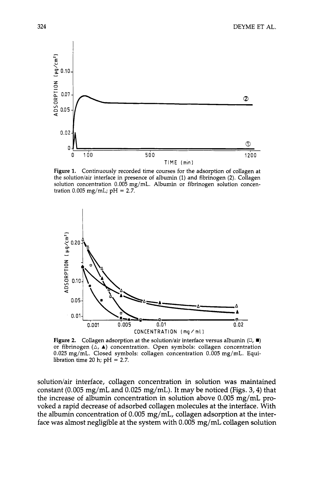

Figure **1.** Continuously recorded time courses for the adsorption of collagen at the solution/air interface in presence of albumin (1) and fibrinogen (2). Collagen solution concentration 0.005 mg/mL. Albumin or fibrinogen solution concentration  $0.005$  mg/mL; pH = 2.7.



**Figure 2.** Collagen adsorption at the solution/air interface versus albumin  $(\Box, \blacksquare)$ or fibrinogen  $(\triangle, \blacktriangle)$  concentration. Open symbols: collagen concentration 0.025 mg/mL. Closed symbols: collagen concentration 0.005 mg/mL. Equilibration time 20 h; pH = **2.7.** 

solution/air interface, collagen concentration in solution **was** maintained constant (0.005 mg/mL and 0.025 mg/mL). It may be noticed (Figs. **3,4)** that the increase of albumin concentration in solution above 0.005 mg/mL provoked a rapid decrease of adsorbed collagen molecules at the interface. With the albumin concentration of 0.005 mg/mL, collagen adsorption at the interface was almost negligible at the system with 0.005 mg/mL collagen solution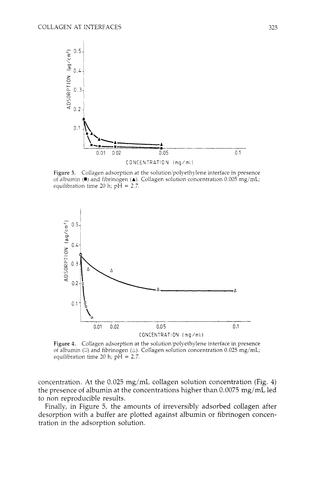

Figure 3. Collagen adsorption at the solution/polyethylene interface in presence of albumin **(** $\blacksquare$ ) and fibrinogen **(** $\blacktriangle$ ). Collagen solution concentration 0.005 mg/mL; equilibration time 20 h;  $pH = 2.7$ .



Figure 4. Collagen adsorption at the solution/polyethylene interface in presence of albumin  $\circ$ ) and fibrinogen  $\circ$ ). Collagen solution concentration 0.025 mg/mL; equilibration time 20 h; pH = *2.7.* 

concentration. At the 0.025 mg/mL collagen solution concentration (Fig. 4) the presence of albumin at the concentrations higher than 0.0075 mg/mL led to non reproducible results.

Finally, in Figure 5, the amounts of irreversibly adsorbed collagen after desorption with a buffer are plotted against albumin or fibrinogen concentration in the adsorption solution.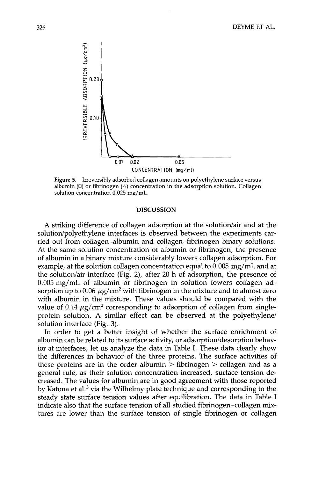

**Figure 5.** Irreversibly adsorbed collagen amounts on polyethylene surface versus albumin  $(\Box)$  or fibrinogen  $(\triangle)$  concentration in the adsorption solution. Collagen solution concentration 0.025 mg/mL.

#### **DISCUSSION**

A striking difference of collagen adsorption at the solution/air and at the solution/polyethylene interfaces is observed between the experiments carried out from collagen-albumin and collagen-fibrinogen binary solutions. At the same solution concentration of albumin or fibrinogen, the presence of albumin in a binary mixture considerably lowers collagen adsorption. For example, at the solution collagen concentration equal to 0.005 mg/mL and at the solution/air interface (Fig. 2), after 20 h of adsorption, the presence of 0.005 mg/mL of albumin or fibrinogen in solution lowers collagen adsorption up to  $0.06 \mu g/cm^2$  with fibrinogen in the mixture and to almost zero with albumin in the mixture. These values should be compared with the value of 0.14  $\mu$ g/cm<sup>2</sup> corresponding to adsorption of collagen from singleprotein solution. **A** similar effect can be observed at the polyethylene/ solution interface (Fig. **3).** 

In order to get a better insight of whether the surface enrichment of albumin can be related to its surface activity, or adsorption/desorption behavior at interfaces, let us analyze the data in Table I. These data clearly show the differences in behavior of the three proteins. The surface activities of these proteins are in the order albumin  $>$  fibrinogen  $>$  collagen and as a general rule, as their solution concentration increased, surface tension decreased. The values for albumin are in good agreement with those reported by Katona et al. $3$  via the Wilhelmy plate technique and corresponding to the steady state surface tension values after equilibration. The data in Table I indicate also that the surface tension of all studied fibrinogen-collagen mixtures are lower than the surface tension of single fibrinogen or collagen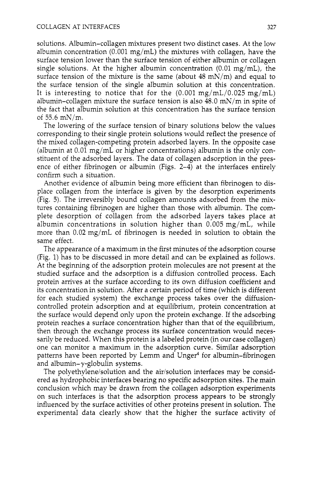solutions. Albumin-collagen mixtures present two distinct cases. At the low albumin concentration  $(0.001 \text{ mg/mL})$  the mixtures with collagen, have the surface tension lower than the surface tension of either albumin or collagen single solutions. At the higher albumin concentration  $(0.01 \text{ mg/mL})$ , the surface tension of the mixture is the same (about  $48 \text{ mN/m}$ ) and equal to the surface tension of the single albumin solution at this concentration. It is interesting to notice that for the  $(0.001 \text{ mg/mL}/0.025 \text{ mg/mL})$ albumin-collagen mixture the surface tension is also 48.0 mN/m in spite of the fact that albumin solution at this concentration has the surface tension of  $55.6$  mN/m.

The lowering of the surface tension of binary solutions below the values corresponding to their single protein solutions would reflect the presence of the mixed collagen-competing protein adsorbed layers. In the opposite case (albumin at  $0.01 \text{ mg/mL}$  or higher concentrations) albumin is the only constituent of the adsorbed layers. The data of collagen adsorption in the presence of either fibrinogen or albumin (Figs. 2-4) at the interfaces entirely confirm such a situation.

Another evidence of albumin being more efficient than fibrinogen to displace collagen from the interface is given by the desorption experiments (Fig. *5).* The irreversibly bound collagen amounts adsorbed from the mixtures containing fibrinogen are higher than those with albumin. The complete desorption of collagen from the adsorbed layers takes place at albumin concentrations in solution higher than 0.005 mg/mL, while more than 0.02 mg/mL of fibrinogen is needed in solution to obtain the same effect.

The appearance of a maximum in the first minutes of the adsorption course (Fig. 1) has to be discussed in more detail and can be explained as follows. At the beginning of the adsorption protein molecules are not present at the studied surface and the adsorption is a diffusion controlled process. Each protein arrives at the surface according to its own diffusion coefficient and its concentration in solution. After a certain period of time (which is different for each studied system) the exchange process takes over the diffusioncontrolled protein adsorption and at equilibrium, protein concentration at the surface would depend only upon the protein exchange. If the adsorbing protein reaches a surface concentration higher than that of the equilibrium, then through the exchange process its surface concentration would necessarily be reduced. When this protein is a labeled protein (in our case collagen) one can monitor a maximum in the adsorption curve. Similar adsorption patterns have been reported by Lemm and Unger4 for albumin-fibrinogen and albumin- $\gamma$ -globulin systems.

The polyethylene/solution and the air/solution interfaces may be considered as hydrophobic interfaces bearing no specific adsorption sites. The main conclusion which may be drawn from the collagen adsorption experiments on such interfaces is that the adsorption process appears to be strongly influenced by the surface activities of other proteins present in solution. The experimental data clearly show that the higher the surface activity of